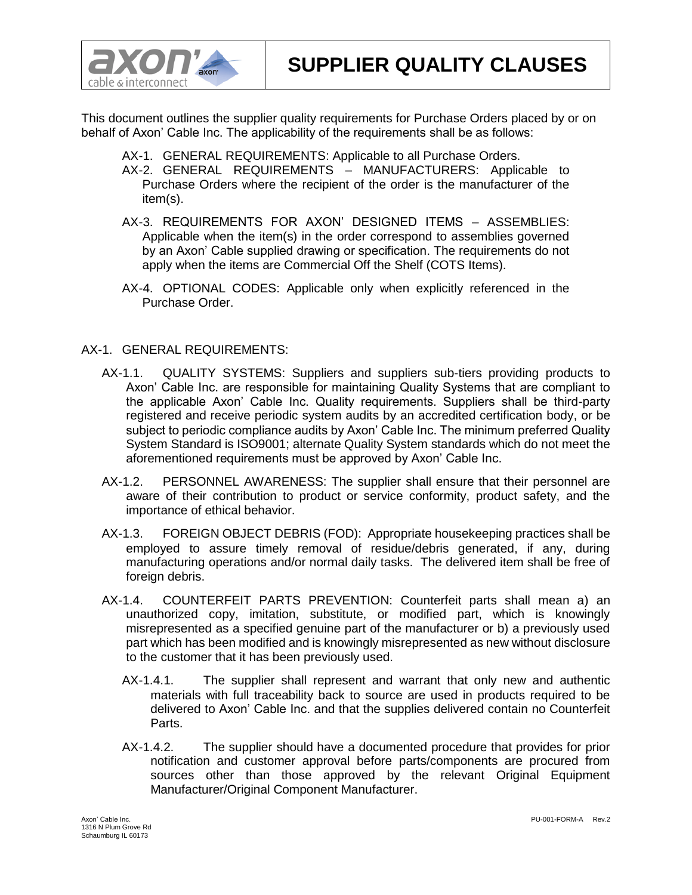



This document outlines the supplier quality requirements for Purchase Orders placed by or on behalf of Axon' Cable Inc. The applicability of the requirements shall be as follows:

- AX-1. GENERAL REQUIREMENTS: Applicable to all Purchase Orders.
- AX-2. GENERAL REQUIREMENTS MANUFACTURERS: Applicable to Purchase Orders where the recipient of the order is the manufacturer of the item(s).
- AX-3. REQUIREMENTS FOR AXON' DESIGNED ITEMS ASSEMBLIES: Applicable when the item(s) in the order correspond to assemblies governed by an Axon' Cable supplied drawing or specification. The requirements do not apply when the items are Commercial Off the Shelf (COTS Items).
- AX-4. OPTIONAL CODES: Applicable only when explicitly referenced in the Purchase Order.

## AX-1. GENERAL REQUIREMENTS:

- AX-1.1. QUALITY SYSTEMS: Suppliers and suppliers sub-tiers providing products to Axon' Cable Inc. are responsible for maintaining Quality Systems that are compliant to the applicable Axon' Cable Inc. Quality requirements. Suppliers shall be third-party registered and receive periodic system audits by an accredited certification body, or be subject to periodic compliance audits by Axon' Cable Inc. The minimum preferred Quality System Standard is ISO9001; alternate Quality System standards which do not meet the aforementioned requirements must be approved by Axon' Cable Inc.
- AX-1.2. PERSONNEL AWARENESS: The supplier shall ensure that their personnel are aware of their contribution to product or service conformity, product safety, and the importance of ethical behavior.
- AX-1.3. FOREIGN OBJECT DEBRIS (FOD): Appropriate housekeeping practices shall be employed to assure timely removal of residue/debris generated, if any, during manufacturing operations and/or normal daily tasks. The delivered item shall be free of foreign debris.
- AX-1.4. COUNTERFEIT PARTS PREVENTION: Counterfeit parts shall mean a) an unauthorized copy, imitation, substitute, or modified part, which is knowingly misrepresented as a specified genuine part of the manufacturer or b) a previously used part which has been modified and is knowingly misrepresented as new without disclosure to the customer that it has been previously used.
	- AX-1.4.1. The supplier shall represent and warrant that only new and authentic materials with full traceability back to source are used in products required to be delivered to Axon' Cable Inc. and that the supplies delivered contain no Counterfeit Parts.
	- AX-1.4.2. The supplier should have a documented procedure that provides for prior notification and customer approval before parts/components are procured from sources other than those approved by the relevant Original Equipment Manufacturer/Original Component Manufacturer.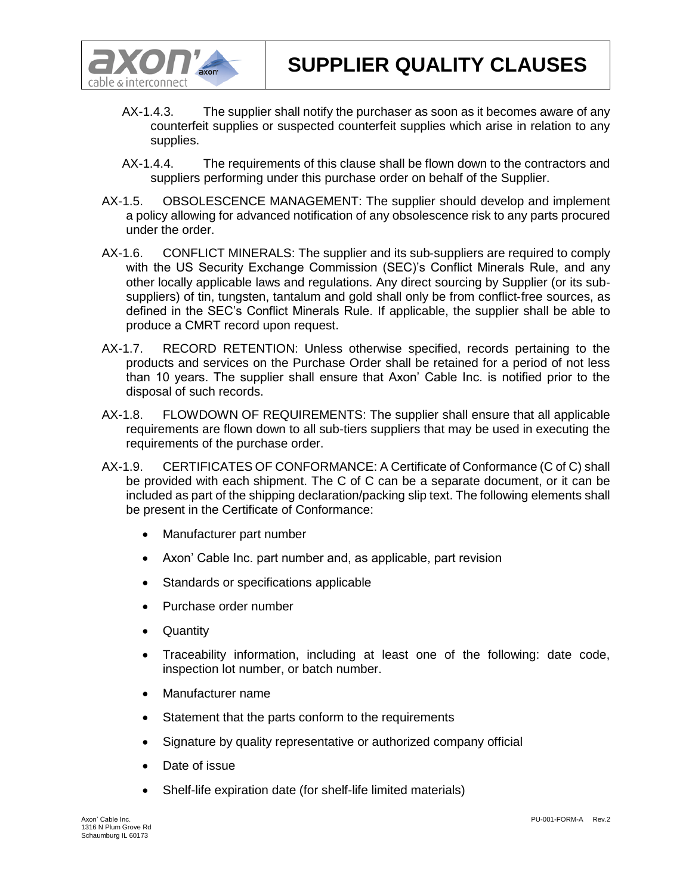

- AX-1.4.3. The supplier shall notify the purchaser as soon as it becomes aware of any counterfeit supplies or suspected counterfeit supplies which arise in relation to any supplies.
- AX-1.4.4. The requirements of this clause shall be flown down to the contractors and suppliers performing under this purchase order on behalf of the Supplier.
- AX-1.5. OBSOLESCENCE MANAGEMENT: The supplier should develop and implement a policy allowing for advanced notification of any obsolescence risk to any parts procured under the order.
- AX-1.6. CONFLICT MINERALS: The supplier and its sub‐suppliers are required to comply with the US Security Exchange Commission (SEC)'s Conflict Minerals Rule, and any other locally applicable laws and regulations. Any direct sourcing by Supplier (or its sub‐ suppliers) of tin, tungsten, tantalum and gold shall only be from conflict-free sources, as defined in the SEC's Conflict Minerals Rule. If applicable, the supplier shall be able to produce a CMRT record upon request.
- AX-1.7. RECORD RETENTION: Unless otherwise specified, records pertaining to the products and services on the Purchase Order shall be retained for a period of not less than 10 years. The supplier shall ensure that Axon' Cable Inc. is notified prior to the disposal of such records.
- AX-1.8. FLOWDOWN OF REQUIREMENTS: The supplier shall ensure that all applicable requirements are flown down to all sub-tiers suppliers that may be used in executing the requirements of the purchase order.
- AX-1.9. CERTIFICATES OF CONFORMANCE: A Certificate of Conformance (C of C) shall be provided with each shipment. The C of C can be a separate document, or it can be included as part of the shipping declaration/packing slip text. The following elements shall be present in the Certificate of Conformance:
	- Manufacturer part number
	- Axon' Cable Inc. part number and, as applicable, part revision
	- Standards or specifications applicable
	- Purchase order number
	- Quantity
	- Traceability information, including at least one of the following: date code, inspection lot number, or batch number.
	- Manufacturer name
	- Statement that the parts conform to the requirements
	- Signature by quality representative or authorized company official
	- Date of issue
	- Shelf-life expiration date (for shelf-life limited materials)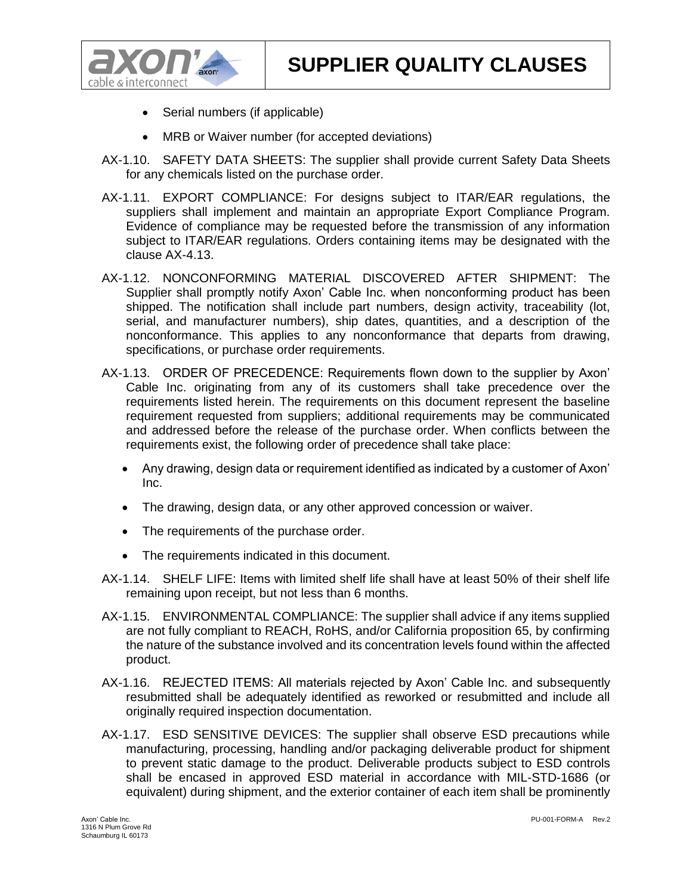

- Serial numbers (if applicable)
- MRB or Waiver number (for accepted deviations)
- AX-1.10. SAFETY DATA SHEETS: The supplier shall provide current Safety Data Sheets for any chemicals listed on the purchase order.
- AX-1.11. EXPORT COMPLIANCE: For designs subject to ITAR/EAR regulations, the suppliers shall implement and maintain an appropriate Export Compliance Program. Evidence of compliance may be requested before the transmission of any information subject to ITAR/EAR regulations. Orders containing items may be designated with the clause AX-4.13.
- AX-1.12. NONCONFORMING MATERIAL DISCOVERED AFTER SHIPMENT: The Supplier shall promptly notify Axon' Cable Inc. when nonconforming product has been shipped. The notification shall include part numbers, design activity, traceability (lot, serial, and manufacturer numbers), ship dates, quantities, and a description of the nonconformance. This applies to any nonconformance that departs from drawing, specifications, or purchase order requirements.
- AX-1.13. ORDER OF PRECEDENCE: Requirements flown down to the supplier by Axon' Cable Inc. originating from any of its customers shall take precedence over the requirements listed herein. The requirements on this document represent the baseline requirement requested from suppliers; additional requirements may be communicated and addressed before the release of the purchase order. When conflicts between the requirements exist, the following order of precedence shall take place:
	- Any drawing, design data or requirement identified as indicated by a customer of Axon' Inc.
	- The drawing, design data, or any other approved concession or waiver.
	- The requirements of the purchase order.
	- The requirements indicated in this document.
- AX-1.14. SHELF LIFE: Items with limited shelf life shall have at least 50% of their shelf life remaining upon receipt, but not less than 6 months.
- AX-1.15. ENVIRONMENTAL COMPLIANCE: The supplier shall advice if any items supplied are not fully compliant to REACH, RoHS, and/or California proposition 65, by confirming the nature of the substance involved and its concentration levels found within the affected product.
- AX-1.16. REJECTED ITEMS: All materials rejected by Axon' Cable Inc. and subsequently resubmitted shall be adequately identified as reworked or resubmitted and include all originally required inspection documentation.
- AX-1.17. ESD SENSITIVE DEVICES: The supplier shall observe ESD precautions while manufacturing, processing, handling and/or packaging deliverable product for shipment to prevent static damage to the product. Deliverable products subject to ESD controls shall be encased in approved ESD material in accordance with MIL-STD-1686 (or equivalent) during shipment, and the exterior container of each item shall be prominently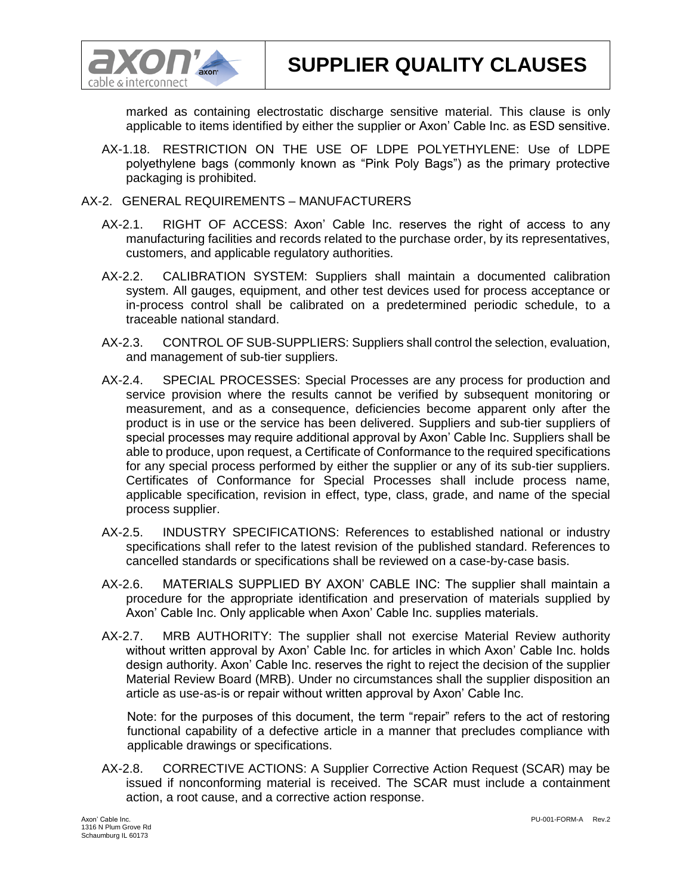

**SUPPLIER QUALITY CLAUSES**

marked as containing electrostatic discharge sensitive material. This clause is only applicable to items identified by either the supplier or Axon' Cable Inc. as ESD sensitive.

- AX-1.18. RESTRICTION ON THE USE OF LDPE POLYETHYLENE: Use of LDPE polyethylene bags (commonly known as "Pink Poly Bags") as the primary protective packaging is prohibited.
- AX-2. GENERAL REQUIREMENTS MANUFACTURERS
	- AX-2.1. RIGHT OF ACCESS: Axon' Cable Inc. reserves the right of access to any manufacturing facilities and records related to the purchase order, by its representatives, customers, and applicable regulatory authorities.
	- AX-2.2. CALIBRATION SYSTEM: Suppliers shall maintain a documented calibration system. All gauges, equipment, and other test devices used for process acceptance or in-process control shall be calibrated on a predetermined periodic schedule, to a traceable national standard.
	- AX-2.3. CONTROL OF SUB-SUPPLIERS: Suppliers shall control the selection, evaluation, and management of sub-tier suppliers.
	- AX-2.4. SPECIAL PROCESSES: Special Processes are any process for production and service provision where the results cannot be verified by subsequent monitoring or measurement, and as a consequence, deficiencies become apparent only after the product is in use or the service has been delivered. Suppliers and sub-tier suppliers of special processes may require additional approval by Axon' Cable Inc. Suppliers shall be able to produce, upon request, a Certificate of Conformance to the required specifications for any special process performed by either the supplier or any of its sub-tier suppliers. Certificates of Conformance for Special Processes shall include process name, applicable specification, revision in effect, type, class, grade, and name of the special process supplier.
	- AX-2.5. INDUSTRY SPECIFICATIONS: References to established national or industry specifications shall refer to the latest revision of the published standard. References to cancelled standards or specifications shall be reviewed on a case-by-case basis.
	- AX-2.6. MATERIALS SUPPLIED BY AXON' CABLE INC: The supplier shall maintain a procedure for the appropriate identification and preservation of materials supplied by Axon' Cable Inc. Only applicable when Axon' Cable Inc. supplies materials.
	- AX-2.7. MRB AUTHORITY: The supplier shall not exercise Material Review authority without written approval by Axon' Cable Inc. for articles in which Axon' Cable Inc. holds design authority. Axon' Cable Inc. reserves the right to reject the decision of the supplier Material Review Board (MRB). Under no circumstances shall the supplier disposition an article as use-as-is or repair without written approval by Axon' Cable Inc.

Note: for the purposes of this document, the term "repair" refers to the act of restoring functional capability of a defective article in a manner that precludes compliance with applicable drawings or specifications.

AX-2.8. CORRECTIVE ACTIONS: A Supplier Corrective Action Request (SCAR) may be issued if nonconforming material is received. The SCAR must include a containment action, a root cause, and a corrective action response.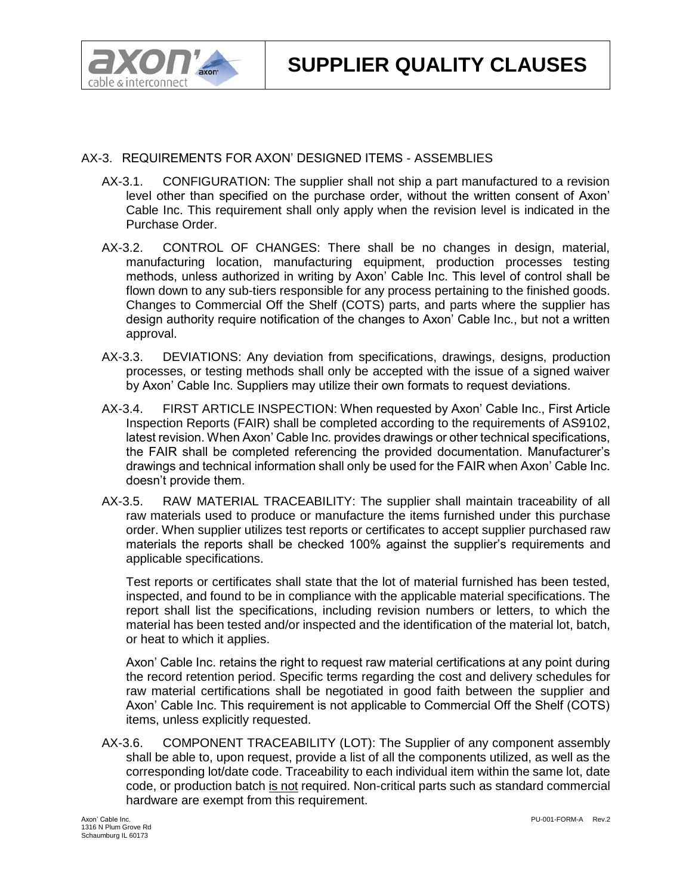

## AX-3. REQUIREMENTS FOR AXON' DESIGNED ITEMS - ASSEMBLIES

- AX-3.1. CONFIGURATION: The supplier shall not ship a part manufactured to a revision level other than specified on the purchase order, without the written consent of Axon' Cable Inc. This requirement shall only apply when the revision level is indicated in the Purchase Order.
- AX-3.2. CONTROL OF CHANGES: There shall be no changes in design, material, manufacturing location, manufacturing equipment, production processes testing methods, unless authorized in writing by Axon' Cable Inc. This level of control shall be flown down to any sub-tiers responsible for any process pertaining to the finished goods. Changes to Commercial Off the Shelf (COTS) parts, and parts where the supplier has design authority require notification of the changes to Axon' Cable Inc., but not a written approval.
- AX-3.3. DEVIATIONS: Any deviation from specifications, drawings, designs, production processes, or testing methods shall only be accepted with the issue of a signed waiver by Axon' Cable Inc. Suppliers may utilize their own formats to request deviations.
- AX-3.4. FIRST ARTICLE INSPECTION: When requested by Axon' Cable Inc., First Article Inspection Reports (FAIR) shall be completed according to the requirements of AS9102, latest revision. When Axon' Cable Inc. provides drawings or other technical specifications, the FAIR shall be completed referencing the provided documentation. Manufacturer's drawings and technical information shall only be used for the FAIR when Axon' Cable Inc. doesn't provide them.
- AX-3.5. RAW MATERIAL TRACEABILITY: The supplier shall maintain traceability of all raw materials used to produce or manufacture the items furnished under this purchase order. When supplier utilizes test reports or certificates to accept supplier purchased raw materials the reports shall be checked 100% against the supplier's requirements and applicable specifications.

Test reports or certificates shall state that the lot of material furnished has been tested, inspected, and found to be in compliance with the applicable material specifications. The report shall list the specifications, including revision numbers or letters, to which the material has been tested and/or inspected and the identification of the material lot, batch, or heat to which it applies.

Axon' Cable Inc. retains the right to request raw material certifications at any point during the record retention period. Specific terms regarding the cost and delivery schedules for raw material certifications shall be negotiated in good faith between the supplier and Axon' Cable Inc. This requirement is not applicable to Commercial Off the Shelf (COTS) items, unless explicitly requested.

AX-3.6. COMPONENT TRACEABILITY (LOT): The Supplier of any component assembly shall be able to, upon request, provide a list of all the components utilized, as well as the corresponding lot/date code. Traceability to each individual item within the same lot, date code, or production batch is not required. Non-critical parts such as standard commercial hardware are exempt from this requirement.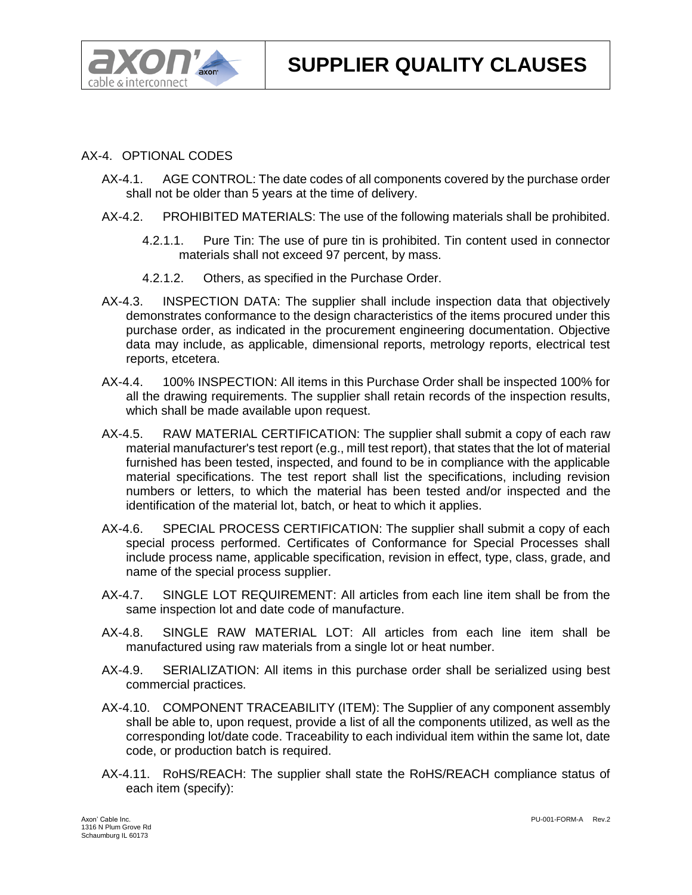

## AX-4. OPTIONAL CODES

- AX-4.1. AGE CONTROL: The date codes of all components covered by the purchase order shall not be older than 5 years at the time of delivery.
- AX-4.2. PROHIBITED MATERIALS: The use of the following materials shall be prohibited.
	- 4.2.1.1. Pure Tin: The use of pure tin is prohibited. Tin content used in connector materials shall not exceed 97 percent, by mass.
	- 4.2.1.2. Others, as specified in the Purchase Order.
- AX-4.3. INSPECTION DATA: The supplier shall include inspection data that objectively demonstrates conformance to the design characteristics of the items procured under this purchase order, as indicated in the procurement engineering documentation. Objective data may include, as applicable, dimensional reports, metrology reports, electrical test reports, etcetera.
- AX-4.4. 100% INSPECTION: All items in this Purchase Order shall be inspected 100% for all the drawing requirements. The supplier shall retain records of the inspection results, which shall be made available upon request.
- AX-4.5. RAW MATERIAL CERTIFICATION: The supplier shall submit a copy of each raw material manufacturer's test report (e.g., mill test report), that states that the lot of material furnished has been tested, inspected, and found to be in compliance with the applicable material specifications. The test report shall list the specifications, including revision numbers or letters, to which the material has been tested and/or inspected and the identification of the material lot, batch, or heat to which it applies.
- AX-4.6. SPECIAL PROCESS CERTIFICATION: The supplier shall submit a copy of each special process performed. Certificates of Conformance for Special Processes shall include process name, applicable specification, revision in effect, type, class, grade, and name of the special process supplier.
- AX-4.7. SINGLE LOT REQUIREMENT: All articles from each line item shall be from the same inspection lot and date code of manufacture.
- AX-4.8. SINGLE RAW MATERIAL LOT: All articles from each line item shall be manufactured using raw materials from a single lot or heat number.
- AX-4.9. SERIALIZATION: All items in this purchase order shall be serialized using best commercial practices.
- AX-4.10. COMPONENT TRACEABILITY (ITEM): The Supplier of any component assembly shall be able to, upon request, provide a list of all the components utilized, as well as the corresponding lot/date code. Traceability to each individual item within the same lot, date code, or production batch is required.
- AX-4.11. RoHS/REACH: The supplier shall state the RoHS/REACH compliance status of each item (specify):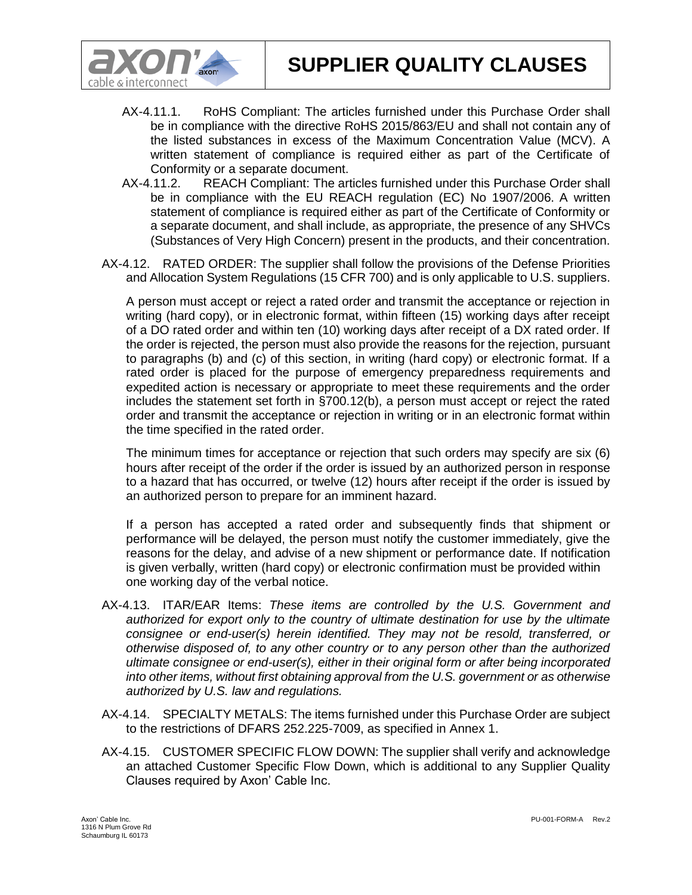



- AX-4.11.1. RoHS Compliant: The articles furnished under this Purchase Order shall be in compliance with the directive RoHS 2015/863/EU and shall not contain any of the listed substances in excess of the Maximum Concentration Value (MCV). A written statement of compliance is required either as part of the Certificate of Conformity or a separate document.
- AX-4.11.2. REACH Compliant: The articles furnished under this Purchase Order shall be in compliance with the EU REACH regulation (EC) No 1907/2006. A written statement of compliance is required either as part of the Certificate of Conformity or a separate document, and shall include, as appropriate, the presence of any SHVCs (Substances of Very High Concern) present in the products, and their concentration.
- AX-4.12. RATED ORDER: The supplier shall follow the provisions of the Defense Priorities and Allocation System Regulations (15 CFR 700) and is only applicable to U.S. suppliers.

A person must accept or reject a rated order and transmit the acceptance or rejection in writing (hard copy), or in electronic format, within fifteen (15) working days after receipt of a DO rated order and within ten (10) working days after receipt of a DX rated order. If the order is rejected, the person must also provide the reasons for the rejection, pursuant to paragraphs (b) and (c) of this section, in writing (hard copy) or electronic format. If a rated order is placed for the purpose of emergency preparedness requirements and expedited action is necessary or appropriate to meet these requirements and the order includes the statement set forth in §700.12(b), a person must accept or reject the rated order and transmit the acceptance or rejection in writing or in an electronic format within the time specified in the rated order.

The minimum times for acceptance or rejection that such orders may specify are six (6) hours after receipt of the order if the order is issued by an authorized person in response to a hazard that has occurred, or twelve (12) hours after receipt if the order is issued by an authorized person to prepare for an imminent hazard.

If a person has accepted a rated order and subsequently finds that shipment or performance will be delayed, the person must notify the customer immediately, give the reasons for the delay, and advise of a new shipment or performance date. If notification is given verbally, written (hard copy) or electronic confirmation must be provided within one working day of the verbal notice.

- AX-4.13. ITAR/EAR Items: *These items are controlled by the U.S. Government and authorized for export only to the country of ultimate destination for use by the ultimate consignee or end-user(s) herein identified. They may not be resold, transferred, or otherwise disposed of, to any other country or to any person other than the authorized ultimate consignee or end-user(s), either in their original form or after being incorporated into other items, without first obtaining approval from the U.S. government or as otherwise authorized by U.S. law and regulations.*
- AX-4.14. SPECIALTY METALS: The items furnished under this Purchase Order are subject to the restrictions of DFARS 252.225-7009, as specified in Annex 1.
- AX-4.15. CUSTOMER SPECIFIC FLOW DOWN: The supplier shall verify and acknowledge an attached Customer Specific Flow Down, which is additional to any Supplier Quality Clauses required by Axon' Cable Inc.